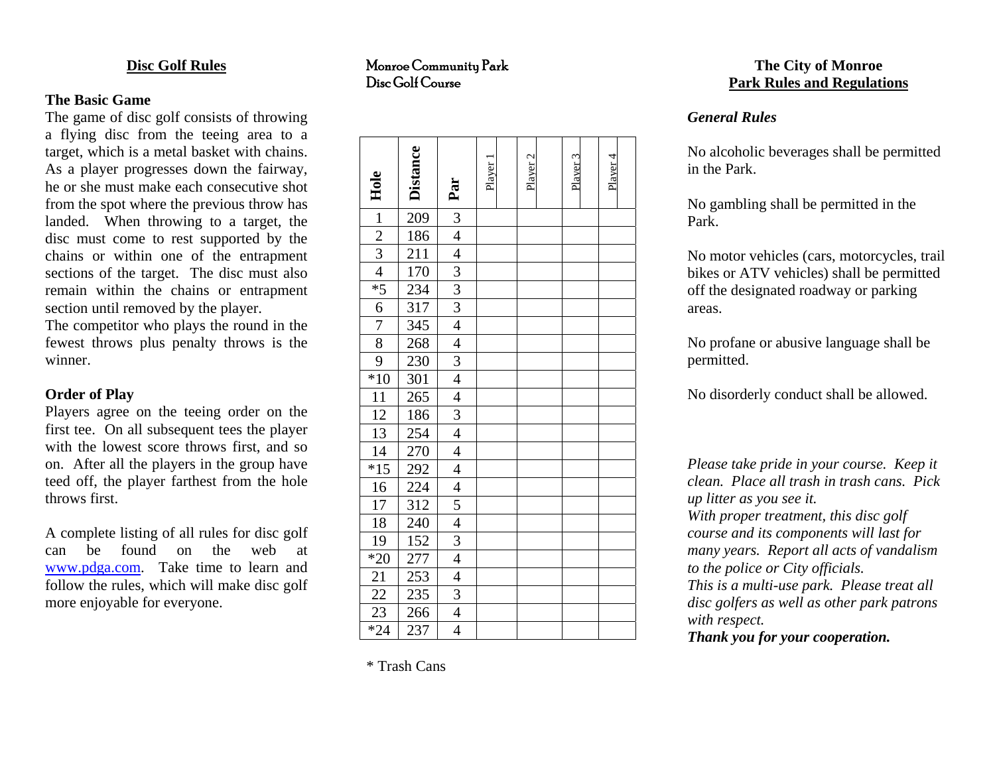#### **Disc Golf Rules**

## **The Basic Game**

The game of disc golf consists of throwing a flying disc from the teeing area to a target, which is a metal basket with chains. As a player progresses down the fairway, he or she must make each consecutive shot from the spot where the previous throw has landed. When throwing to a target, the disc must come to rest supported by the chains or within one of the entrapment sections of the target. The disc must also remain within the chains or entrapment section until removed by the player.

The competitor who plays the round in the fewest throws plus penalty throws is the winner.

### **Order of Play**

Players agree on the teeing order on the first tee. On all subsequent tees the player with the lowest score throws first, and so on. After all the players in the group have teed off, the player farthest from the hole throws first.

A complete listing of all rules for disc golf can be found on the web at www.p[dga.com](http://www.pdga.com/). Take time to learn and follow the rules, which will make disc golf more enjoyable for everyone.

Monroe Community Park Disc Golf Course

| Hole                                                                                                          | <b>Distance</b>                               | Par                                                     | Player 1 | Player <sub>2</sub> | Player 3 | Plaver 4 |  |
|---------------------------------------------------------------------------------------------------------------|-----------------------------------------------|---------------------------------------------------------|----------|---------------------|----------|----------|--|
| $\frac{1}{2}$<br>$\frac{2}{3}$<br>$\frac{4}{3}$<br>$\frac{4}{6}$<br>$\frac{7}{2}$<br>$\frac{8}{9}$            | 209                                           | $\frac{3}{4}$ $\frac{4}{3}$ $\frac{3}{3}$ $\frac{3}{4}$ |          |                     |          |          |  |
|                                                                                                               | 186                                           |                                                         |          |                     |          |          |  |
|                                                                                                               | $\overline{211}$                              |                                                         |          |                     |          |          |  |
|                                                                                                               |                                               |                                                         |          |                     |          |          |  |
|                                                                                                               | $\frac{170}{234}$                             |                                                         |          |                     |          |          |  |
|                                                                                                               | $\frac{1}{317}$                               |                                                         |          |                     |          |          |  |
|                                                                                                               | $\overline{345}$                              |                                                         |          |                     |          |          |  |
|                                                                                                               | 268                                           | $\frac{4}{3}$                                           |          |                     |          |          |  |
|                                                                                                               | 230                                           |                                                         |          |                     |          |          |  |
| $*10$                                                                                                         | 301                                           |                                                         |          |                     |          |          |  |
| $\frac{11}{12}$ $\frac{12}{13}$ $\frac{14}{15}$ $\frac{14}{16}$                                               | $\overline{265}$                              | $\frac{4}{3}$                                           |          |                     |          |          |  |
|                                                                                                               | 186                                           |                                                         |          |                     |          |          |  |
|                                                                                                               | 254<br>270<br>292<br>224<br>224<br>312<br>240 |                                                         |          |                     |          |          |  |
|                                                                                                               |                                               | $\frac{4}{4}$                                           |          |                     |          |          |  |
|                                                                                                               |                                               |                                                         |          |                     |          |          |  |
|                                                                                                               |                                               | $\overline{4}$                                          |          |                     |          |          |  |
|                                                                                                               |                                               | $\frac{5}{4}$                                           |          |                     |          |          |  |
|                                                                                                               |                                               |                                                         |          |                     |          |          |  |
|                                                                                                               |                                               |                                                         |          |                     |          |          |  |
|                                                                                                               |                                               |                                                         |          |                     |          |          |  |
| $\begin{array}{r} 17 \\ \hline 18 \\ \hline 19 \\ *20 \\ \hline 21 \\ \hline 22 \\ *24 \\ \hline \end{array}$ | $\frac{152}{152}$<br>$\frac{277}{253}$        | $\frac{3}{4}$ $\frac{4}{4}$ $\frac{3}{4}$               |          |                     |          |          |  |
|                                                                                                               | 235                                           |                                                         |          |                     |          |          |  |
|                                                                                                               | $\frac{266}{5}$                               |                                                         |          |                     |          |          |  |
|                                                                                                               | 237                                           | $\overline{4}$                                          |          |                     |          |          |  |

# **The City of Monroe Park Rules and Regulations**

## *General Rules*

No alcoholic beverages shall be permitted in the Park.

No gambling shall be permitted in the Park.

No motor vehicles (cars, motorcycles, trail bikes or ATV vehicles) shall be permitted off the designated roadway or parking areas.

No profane or abusive language shall be permitted.

No disorderly conduct shall be allowed.

*Please take pride in your course. Keep it clean. Place all trash in trash cans. Pick up litter as you see it. With proper treatment, this disc golf course and its components will last for many years. Report all acts of vandalism to the police or City officials. This is a multi-use park. Please treat all disc golfers as well as other park patrons with respect.* 

*Thank you for your cooperation.* 

\* Trash Cans